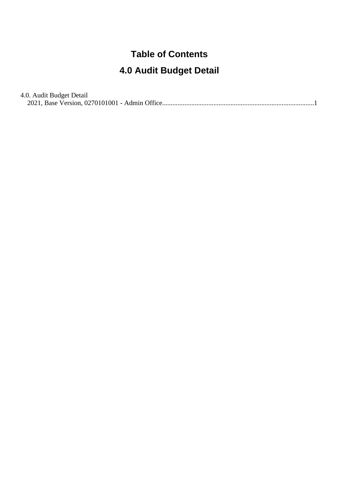#### **Table of Contents**

#### **4.0 Audit Budget Detail**

#### 4.0. Audit Budget Detail

[2021, Base Version, 0270101001 - Admin Office........................................................................................](#page-1-0).1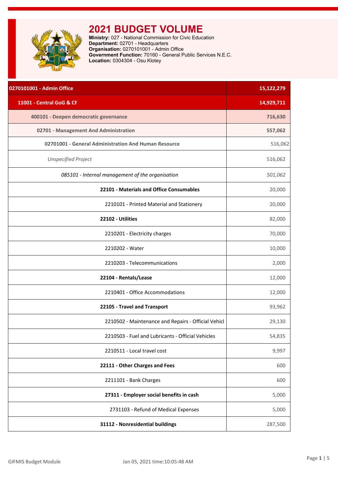<span id="page-1-0"></span>

| 0270101001 - Admin Office                            | 15,122,279 |
|------------------------------------------------------|------------|
| 11001 - Central GoG & CF                             | 14,929,711 |
| 400101 - Deepen democratic governance                | 716,630    |
| 02701 - Management And Administration                | 557,062    |
| 02701001 - General Administration And Human Resource | 516,062    |
| <b>Unspecified Project</b>                           | 516,062    |
| 085101 - Internal management of the organisation     | 501,062    |
| 22101 - Materials and Office Consumables             | 20,000     |
| 2210101 - Printed Material and Stationery            | 20,000     |
| 22102 - Utilities                                    | 82,000     |
| 2210201 - Electricity charges                        | 70,000     |
| 2210202 - Water                                      | 10,000     |
| 2210203 - Telecommunications                         | 2,000      |
| 22104 - Rentals/Lease                                | 12,000     |
| 2210401 - Office Accommodations                      | 12,000     |
| 22105 - Travel and Transport                         | 93,962     |
| 2210502 - Maintenance and Repairs - Official Vehicl  | 29,130     |
| 2210503 - Fuel and Lubricants - Official Vehicles    | 54,835     |
| 2210511 - Local travel cost                          | 9,997      |
| 22111 - Other Charges and Fees                       | 600        |
| 2211101 - Bank Charges                               | 600        |
| 27311 - Employer social benefits in cash             | 5,000      |
| 2731103 - Refund of Medical Expenses                 | 5,000      |
| 31112 - Nonresidential buildings                     | 287,500    |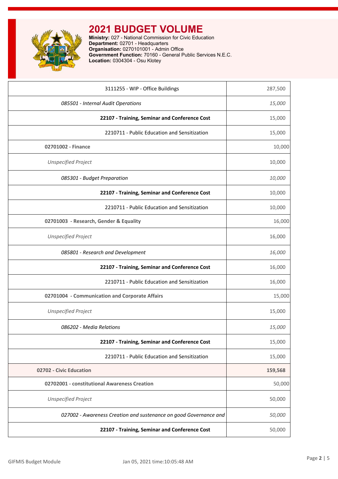

| 3111255 - WIP - Office Buildings                                  | 287,500 |
|-------------------------------------------------------------------|---------|
| 085501 - Internal Audit Operations                                | 15,000  |
| 22107 - Training, Seminar and Conference Cost                     | 15,000  |
| 2210711 - Public Education and Sensitization                      | 15,000  |
| 02701002 - Finance                                                | 10,000  |
| <b>Unspecified Project</b>                                        | 10,000  |
| 085301 - Budget Preparation                                       | 10,000  |
| 22107 - Training, Seminar and Conference Cost                     | 10,000  |
| 2210711 - Public Education and Sensitization                      | 10,000  |
| 02701003 - Research, Gender & Equality                            | 16,000  |
| <b>Unspecified Project</b>                                        | 16,000  |
| 085801 - Research and Development                                 | 16,000  |
| 22107 - Training, Seminar and Conference Cost                     | 16,000  |
| 2210711 - Public Education and Sensitization                      | 16,000  |
| 02701004 - Communication and Corporate Affairs                    | 15,000  |
| <b>Unspecified Project</b>                                        | 15,000  |
| 086202 - Media Relations                                          | 15,000  |
| 22107 - Training, Seminar and Conference Cost                     | 15,000  |
| 2210711 - Public Education and Sensitization                      | 15,000  |
| 02702 - Civic Education                                           | 159,568 |
| 02702001 - constitutional Awareness Creation                      | 50,000  |
| <b>Unspecified Project</b>                                        | 50,000  |
| 027002 - Awareness Creation and sustenance on good Governance and | 50,000  |
| 22107 - Training, Seminar and Conference Cost                     | 50,000  |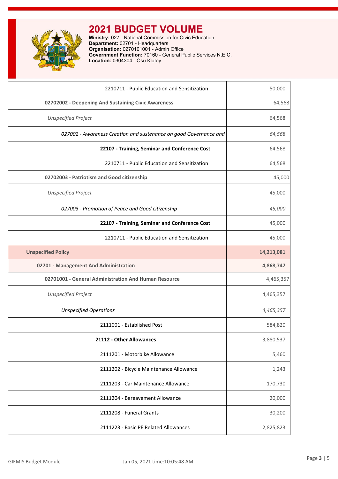

| 2210711 - Public Education and Sensitization                      | 50,000     |
|-------------------------------------------------------------------|------------|
| 02702002 - Deepening And Sustaining Civic Awareness               | 64,568     |
| <b>Unspecified Project</b>                                        | 64,568     |
| 027002 - Awareness Creation and sustenance on good Governance and | 64,568     |
| 22107 - Training, Seminar and Conference Cost                     | 64,568     |
| 2210711 - Public Education and Sensitization                      | 64,568     |
| 02702003 - Patriotism and Good citizenship                        | 45,000     |
| <b>Unspecified Project</b>                                        | 45,000     |
| 027003 - Promotion of Peace and Good citizenship                  | 45,000     |
| 22107 - Training, Seminar and Conference Cost                     | 45,000     |
| 2210711 - Public Education and Sensitization                      | 45,000     |
| <b>Unspecified Policy</b>                                         | 14,213,081 |
| 02701 - Management And Administration                             | 4,868,747  |
| 02701001 - General Administration And Human Resource              | 4,465,357  |
| <b>Unspecified Project</b>                                        | 4,465,357  |
| <b>Unspecified Operations</b>                                     | 4,465,357  |
| 2111001 - Established Post                                        | 584,820    |
| 21112 - Other Allowances                                          | 3,880,537  |
| 2111201 - Motorbike Allowance                                     | 5,460      |
| 2111202 - Bicycle Maintenance Allowance                           | 1,243      |
| 2111203 - Car Maintenance Allowance                               | 170,730    |
| 2111204 - Bereavement Allowance                                   | 20,000     |
| 2111208 - Funeral Grants                                          | 30,200     |
| 2111223 - Basic PE Related Allowances                             | 2,825,823  |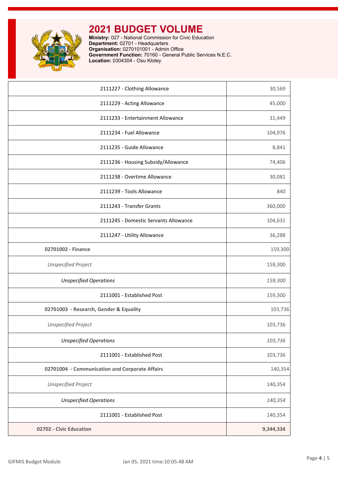

| 2111227 - Clothing Allowance                   | 30,569    |
|------------------------------------------------|-----------|
| 2111229 - Acting Allowance                     | 45,000    |
| 2111233 - Entertainment Allowance              | 31,449    |
| 2111234 - Fuel Allowance                       | 104,976   |
| 2111235 - Guide Allowance                      | 8,841     |
| 2111236 - Housing Subsidy/Allowance            | 74,406    |
| 2111238 - Overtime Allowance                   | 30,081    |
| 2111239 - Tools Allowance                      | 840       |
| 2111243 - Transfer Grants                      | 360,000   |
| 2111245 - Domestic Servants Allowance          | 104,631   |
| 2111247 - Utility Allowance                    | 36,288    |
| 02701002 - Finance                             | 159,300   |
| <b>Unspecified Project</b>                     | 159,300   |
| <b>Unspecified Operations</b>                  | 159,300   |
| 2111001 - Established Post                     | 159,300   |
| 02701003 - Research, Gender & Equality         | 103,736   |
| <b>Unspecified Project</b>                     | 103,736   |
| <b>Unspecified Operations</b>                  | 103,736   |
| 2111001 - Established Post                     | 103,736   |
| 02701004 - Communication and Corporate Affairs | 140,354   |
| <b>Unspecified Project</b>                     | 140,354   |
| <b>Unspecified Operations</b>                  | 140,354   |
| 2111001 - Established Post                     | 140,354   |
| 02702 - Civic Education                        | 9,344,334 |